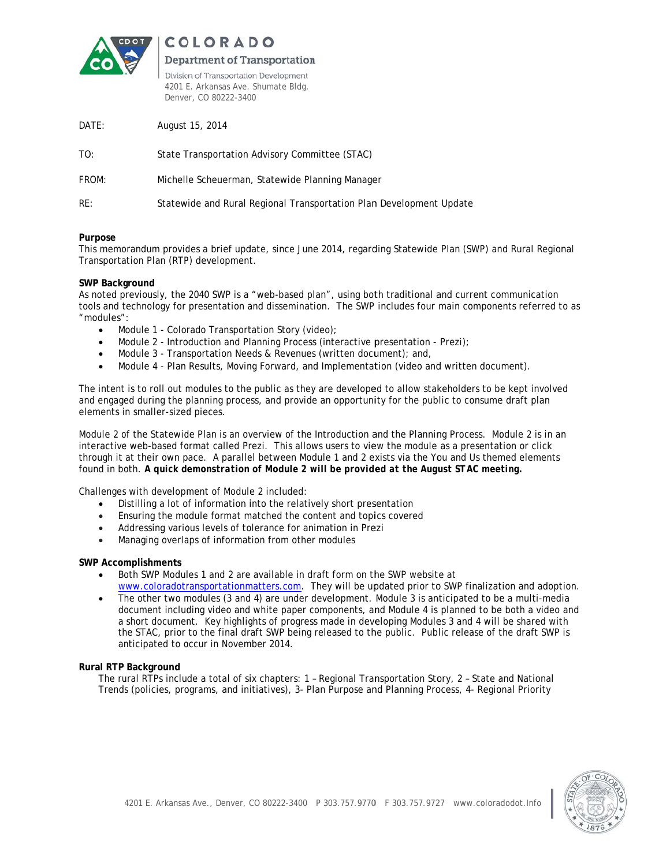

COLORADO

# Department of Transportation

Division of Transportation Development 4201 E. Arkansas Ave. Shumate Bldg. Denver, CO 80222-3400

| DATE: | August 15, 2014                                                     |
|-------|---------------------------------------------------------------------|
| TO:   | State Transportation Advisory Committee (STAC)                      |
| FROM: | Michelle Scheuerman, Statewide Planning Manager                     |
| RE:   | Statewide and Rural Regional Transportation Plan Development Update |
|       |                                                                     |

## Purpose

This memorandum provides a brief update, since June 2014, regarding Statewide Plan (SWP) and Rural Regional Transportation Plan (RTP) development.

## SWP Background

As noted previously, the 2040 SWP is a "web-based plan", using both traditional and current communication tools and technology for presentation and dissemination. The SWP includes four main components referred to as "modules":

- Module 1 Colorado Transportation Story (video);  $\bullet$
- Module 2 Introduction and Planning Process (interactive presentation Prezi);  $\bullet$
- Module 3 Transportation Needs & Revenues (written document); and,  $\bullet$
- Module 4 Plan Results, Moving Forward, and Implementation (video and written document).

The intent is to roll out modules to the public as they are developed to allow stakeholders to be kept involved and engaged during the planning process, and provide an opportunity for the public to consume draft plan elements in smaller-sized pieces.

Module 2 of the Statewide Plan is an overview of the Introduction and the Planning Process. Module 2 is in an interactive web-based format called Prezi. This allows users to view the module as a presentation or click through it at their own pace. A parallel between Module 1 and 2 exists via the You and Us themed elements found in both. A quick demonstration of Module 2 will be provided at the August STAC meeting.

Challenges with development of Module 2 included:

- Distilling a lot of information into the relatively short presentation  $\bullet$
- Ensuring the module format matched the content and topics covered
- $\bullet$ Addressing various levels of tolerance for animation in Prezi
- Managing overlaps of information from other modules

#### **SWP Accomplishments**

- Both SWP Modules 1 and 2 are available in draft form on the SWP website at www.coloradotransportationmatters.com. They will be updated prior to SWP finalization and adoption.
- The other two modules (3 and 4) are under development. Module 3 is anticipated to be a multi-media document including video and white paper components, and Module 4 is planned to be both a video and a short document. Key highlights of progress made in developing Modules 3 and 4 will be shared with the STAC, prior to the final draft SWP being released to the public. Public release of the draft SWP is anticipated to occur in November 2014.

#### Rural RTP Background

The rural RTPs include a total of six chapters: 1 - Regional Transportation Story, 2 - State and National Trends (policies, programs, and initiatives), 3- Plan Purpose and Planning Process, 4- Regional Priority